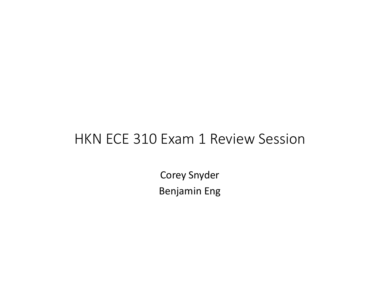#### HKN ECE 310 Exam 1 Review Session

Corey Snyder Benjamin Eng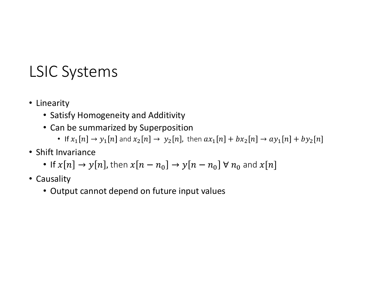#### LSIC Systems

- Linearity
	- Satisfy Homogeneity and Additivity
	- Can be summarized by Superposition
- **Systems**<br>
 Fity<br>
\* It is ty Homogeneity and Additivity<br>
\* The summarized by Superposition<br>
 If  $x_1[n] \rightarrow y_1[n]$  and  $x_2[n] \rightarrow y_2[n]$ , then  $ax_1[n] + bx_2[n] \rightarrow ax_1[n] + by_2[n]$ <br>
mariance<br>  $x[n] \rightarrow y[n]$ , then  $x[n n_0] \rightarrow y[n n_0] \forall n_0$  and
- Shift Invariance
	- If  $x[n] \rightarrow y[n]$ , then  $x[n n_0] \rightarrow y[n n_0] \forall n_0$  and  $x[n]$
- Causality
	- Output cannot depend on future input values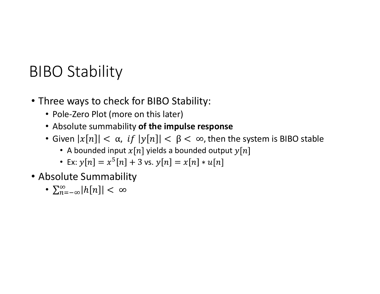# BIBO Stability

- Three ways to check for BIBO Stability:
	- Pole-Zero Plot (more on this later)
	- Absolute summability of the impulse response
	- Given  $|x[n]| < \alpha$ , if  $|y[n]| < \beta < \infty$ , then the system is BIBO stable
		- A bounded input  $x[n]$  yields a bounded output  $y[n]$
		- Ex:  $y[n] = x^5[n] + 3$  vs.  $y[n] = x[n]$
- Absolute Summability
	- $\sum_{n=-\infty}^{\infty} |h[n]| < \infty$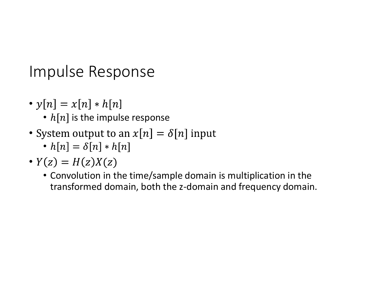Impulse Response

- $y[n] = x[n] * h[n]$ 
	- $h[n]$  is the impulse response
- System output to an  $x[n] = \delta[n]$  input
	- $h[n] = \delta[n] * h[n]$
- $Y(z) = H(z)X(z)$ 
	- Convolution in the time/sample domain is multiplication in the transformed domain, both the z-domain and frequency domain.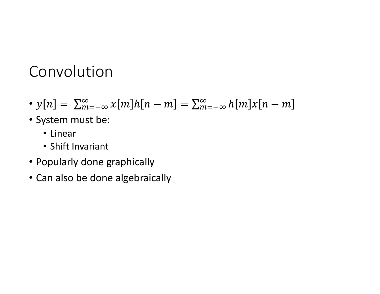#### Convolution

- $y[n] = \sum_{m=-\infty}^{\infty} x[m]h[n-m] = \sum_{m=-\infty}^{\infty} h[m]x[n-m]$  $\infty \qquad \gamma[m]_h[n-m] = \sum_{\infty}$  $m=-\infty \lambda$ [m]n[n – m] =  $\sum_{m=-\infty}$ n[m
- System must be:
	- Linear
	- Shift Invariant
- Popularly done graphically
- Can also be done algebraically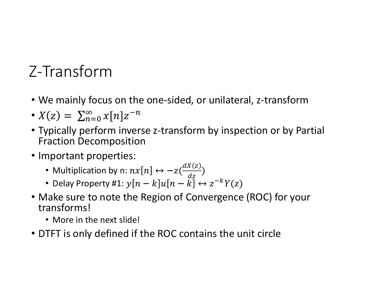# Z-Transform

- We mainly focus on the one-sided, or unilateral, z-transform
- $X(z) = \sum_{n=0}^{\infty} x[n]z^{-n}$
- Typically perform inverse z-transform by inspection or by Partial Fraction Decomposition
- Important properties:
	- Multiplication by n:  $nx[n] \leftrightarrow -z(\frac{dX(z)}{dz})$
	- $dz$ • Delay Property #1:  $y[n-k]u[n-\tilde{k}]\leftrightarrow z^{-k}Y(z)$
- Make sure to note the Region of Convergence (ROC) for your transforms!
	- More in the next slide!
- DTFT is only defined if the ROC contains the unit circle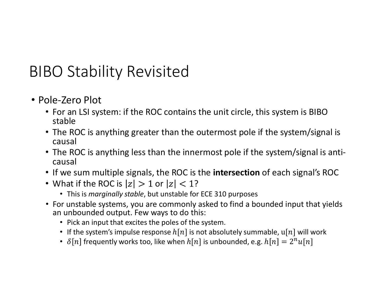## BIBO Stability Revisited

- Pole-Zero Plot
	- For an LSI system: if the ROC contains the unit circle, this system is BIBO stable
	- The ROC is anything greater than the outermost pole if the system/signal is causal
	- The ROC is anything less than the innermost pole if the system/signal is anticausal
	- If we sum multiple signals, the ROC is the **intersection** of each signal's ROC
	- What if the ROC is  $|z| > 1$  or  $|z| < 1$ ?
		- This is marginally stable, but unstable for ECE 310 purposes
	- For unstable systems, you are commonly asked to find a bounded input that yields an unbounded output. Few ways to do this:
		- Pick an input that excites the poles of the system.
		- If the system's impulse response  $h[n]$  is not absolutely summable,  $u[n]$  will work
		- $\delta[n]$  frequently works too, like when  $h[n]$  is unbounded, e.g.  $h[n] = 2^n u[n]$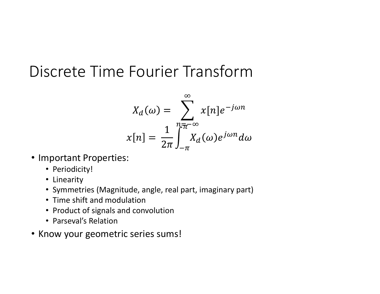## Discrete Time Fourier Transform

$$
X_d(\omega) = \sum_{n = -\infty}^{\infty} x[n]e^{-j\omega n}
$$

$$
x[n] = \frac{1}{2\pi} \int_{-\pi}^{\pi} X_d(\omega)e^{j\omega n} d\omega
$$

- Important Properties:
	- Periodicity!
	- Linearity
	- Symmetries (Magnitude, angle, real part, imaginary part)
	- Time shift and modulation
	- Product of signals and convolution
	- Parseval's Relation
- Know your geometric series sums!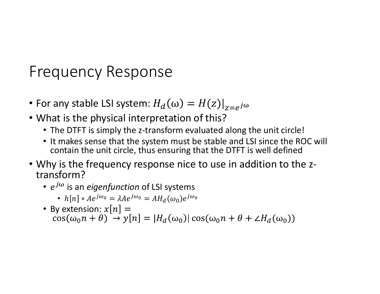#### **Frequency Response**

- For any stable LSI system:  $H_d(\omega) = H(z)|_{z=e^{j\omega}}$
- What is the physical interpretation of this?
	- The DTFT is simply the z-transform evaluated along the unit circle!
	- It makes sense that the system must be stable and LSI since the ROC will contain the unit circle, thus ensuring that the DTFT is well defined
- . Why is the frequency response nice to use in addition to the ztransform?
	- $e^{j\omega}$  is an eigenfunction of LSI systems
		- $h[n] * Ae^{j\omega_0} = \lambda Ae^{j\omega_0} = AH_d(\omega_0)e^{j\omega_0}$
	- By extension:  $x[n] =$  $\cos(\omega_0 n + \theta) \rightarrow y[n] = |H_d(\omega_0)| \cos(\omega_0 n + \theta + \angle H_d(\omega_0))$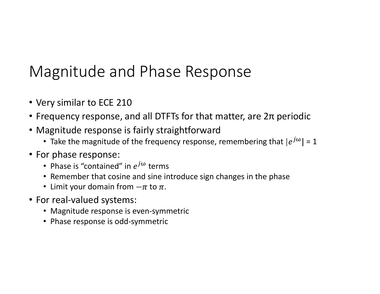# Magnitude and Phase Response *Magnitude and Phase Response*<br>• Very similar to ECE 210<br>• Frequency response, and all DTFTs for that matter, are 2π periodic<br>• Magnitude response is fairly straightforward<br>• Take the magnitude of the frequency response,

- Very similar to ECE 210
- 
- Magnitude response is fairly straightforward
	- Take the magnitude of the frequency response, remembering that  $|e^{j\omega}| = 1$
- For phase response:
	- Phase is "contained" in  $e^{j\omega}$  terms
	- Remember that cosine and sine introduce sign changes in the phase
	- Limit your domain from  $-\pi$  to  $\pi$ .
- For real-valued systems:
	- Magnitude response is even-symmetric
	- Phase response is odd-symmetric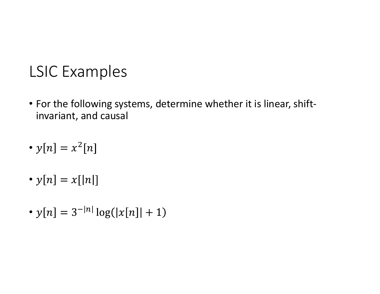#### LSIC Examples

- For the following systems, determine whether it is linear, shiftinvariant, and causal
- $y[n] = x^2[n]$
- $y[n] = x[|n|]$
- $y[n] = 3^{-|n|} \log(|x[n]| + 1)$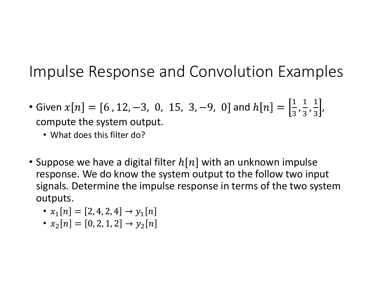#### Impulse Response and Convolution Examples

- Given  $x[n] = [6, 12, -3, 0, 15, 3, -9, 0]$  and  $h[n] = \left[\frac{1}{2}, \frac{1}{2}, \frac{1}{2}\right]$ ,  $3'3'3'$  $1 \t1$  $3'3'$  $1$  and  $1$  and  $1$  and  $1$  and  $1$  and  $1$  and  $1$  and  $1$  and  $1$  and  $1$  and  $1$  and  $1$  and  $1$  and  $1$  and  $1$  and  $1$  and  $1$  and  $1$  and  $1$  and  $1$  and  $1$  and  $1$  and  $1$  and  $1$  and  $1$  and  $1$  and  $1$  and  $1$  a  $3'$  $\overline{\phantom{a}}$ compute the system output.
	- What does this filter do?
- Suppose we have a digital filter  $h[n]$  with an unknown impulse response. We do know the system output to the follow two input signals. Determine the impulse response in terms of the two system outputs.
	- $x_1[n] = [2, 4, 2, 4] \rightarrow y_1[n]$
	- $x_2[n] = [0, 2, 1, 2] \rightarrow y_2[n]$